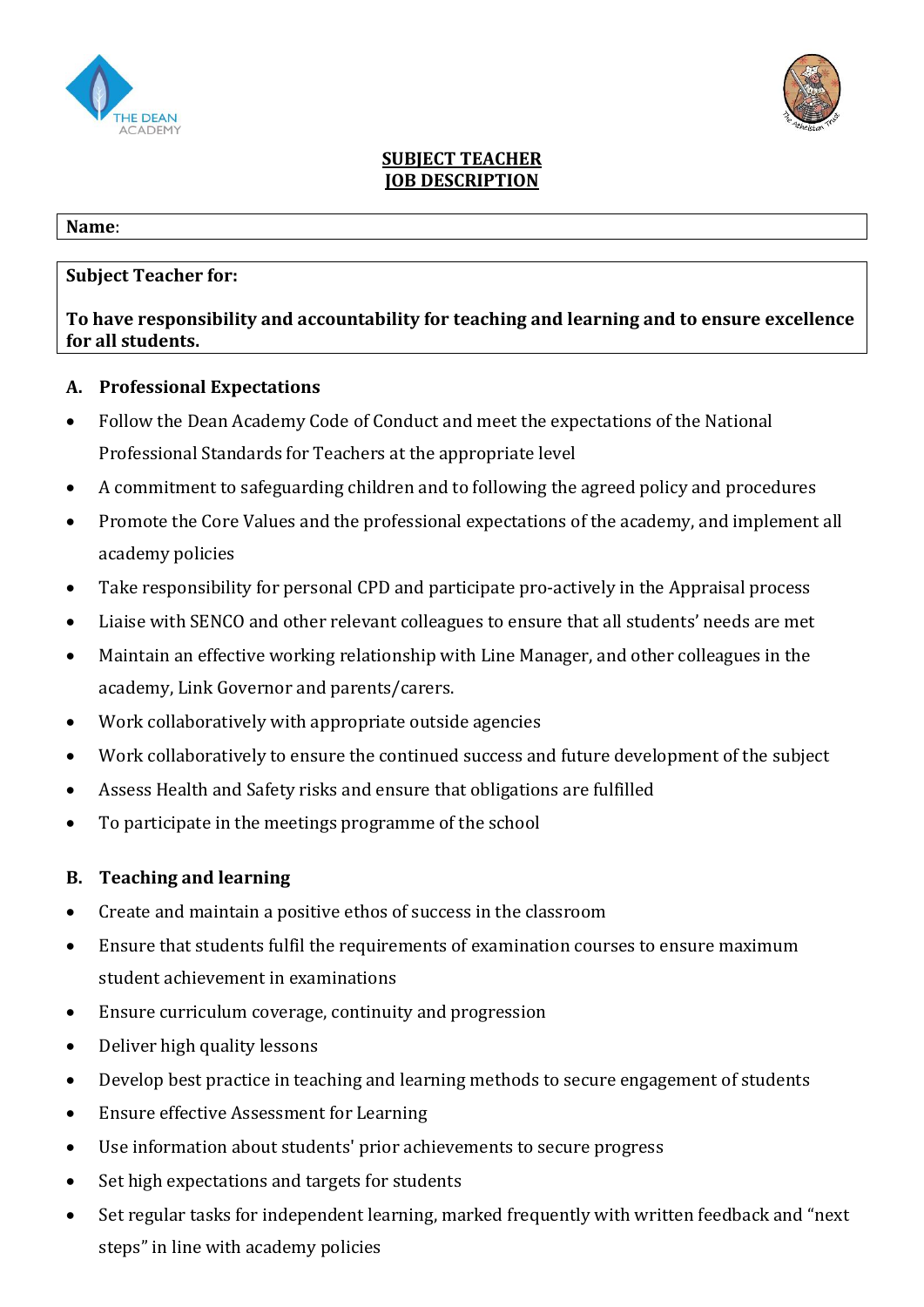



### **SUBJECT TEACHER JOB DESCRIPTION**

#### **Name**:

## **Subject Teacher for:**

# **To have responsibility and accountability for teaching and learning and to ensure excellence for all students.**

## **A. Professional Expectations**

- Follow the Dean Academy Code of Conduct and meet the expectations of the National Professional Standards for Teachers at the appropriate level
- A commitment to safeguarding children and to following the agreed policy and procedures
- Promote the Core Values and the professional expectations of the academy, and implement all academy policies
- Take responsibility for personal CPD and participate pro-actively in the Appraisal process
- Liaise with SENCO and other relevant colleagues to ensure that all students' needs are met
- Maintain an effective working relationship with Line Manager, and other colleagues in the academy, Link Governor and parents/carers.
- Work collaboratively with appropriate outside agencies
- Work collaboratively to ensure the continued success and future development of the subject
- Assess Health and Safety risks and ensure that obligations are fulfilled
- To participate in the meetings programme of the school

## **B. Teaching and learning**

- Create and maintain a positive ethos of success in the classroom
- Ensure that students fulfil the requirements of examination courses to ensure maximum student achievement in examinations
- Ensure curriculum coverage, continuity and progression
- Deliver high quality lessons
- Develop best practice in teaching and learning methods to secure engagement of students
- Ensure effective Assessment for Learning
- Use information about students' prior achievements to secure progress
- Set high expectations and targets for students
- Set regular tasks for independent learning, marked frequently with written feedback and "next" steps" in line with academy policies